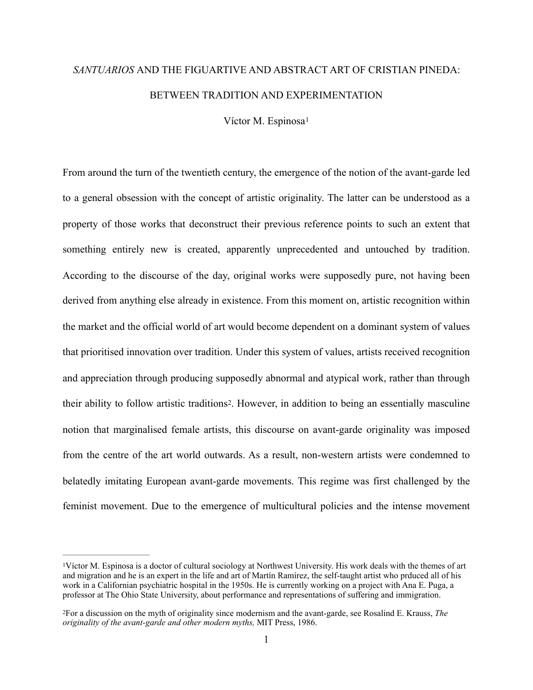## *SANTUARIOS* AND THE FIGUARTIVE AND ABSTRACT ART OF CRISTIAN PINEDA: BETWEEN TRADITION AND EXPERIMENTATION

<span id="page-0-2"></span>Víctor M. Espinosa<sup>[1](#page-0-0)</sup>

From around the turn of the twentieth century, the emergence of the notion of the avant-garde led to a general obsession with the concept of artistic originality. The latter can be understood as a property of those works that deconstruct their previous reference points to such an extent that something entirely new is created, apparently unprecedented and untouched by tradition. According to the discourse of the day, original works were supposedly pure, not having been derived from anything else already in existence. From this moment on, artistic recognition within the market and the official world of art would become dependent on a dominant system of values that prioritised innovation over tradition. Under this system of values, artists received recognition and appreciation through producing supposedly abnormal and atypical work, rather than through their ability to follow artistic traditions[2.](#page-0-1) However, in addition to being an essentially masculine notion that marginalised female artists, this discourse on avant-garde originality was imposed from the centre of the art world outwards. As a result, non-western artists were condemned to belatedly imitating European avant-garde movements. This regime was first challenged by the feminist movement. Due to the emergence of multicultural policies and the intense movement

<span id="page-0-3"></span><span id="page-0-0"></span>Víctor M. Espinosa is a doctor of cultural sociology at Northwest University. His work deals with the themes of art [1](#page-0-2) and migration and he is an expert in the life and art of Martín Ramírez, the self-taught artist who prduced all of his work in a Californian psychiatric hospital in the 1950s. He is currently working on a project with Ana E. Puga, a professor at The Ohio State University, about performance and representations of suffering and immigration.

<span id="page-0-1"></span>For a discussion on the myth of originality since modernism and the avant-garde, see Rosalind E. Krauss, *The* [2](#page-0-3) *originality of the avant-garde and other modern myths,* MIT Press, 1986.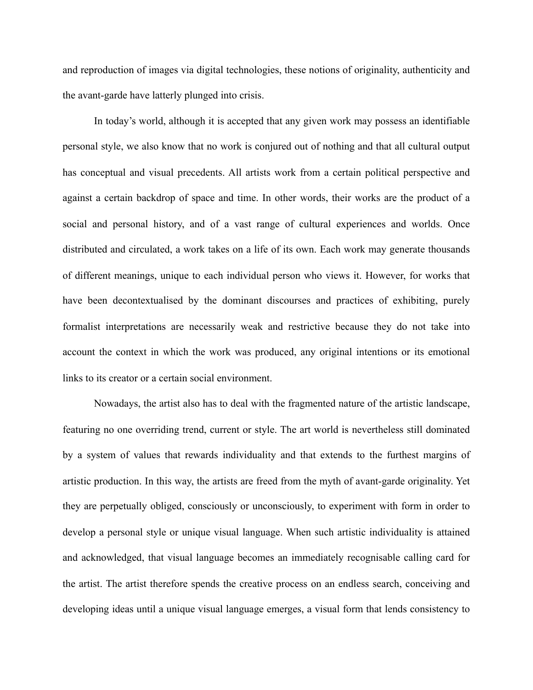and reproduction of images via digital technologies, these notions of originality, authenticity and the avant-garde have latterly plunged into crisis.

 In today's world, although it is accepted that any given work may possess an identifiable personal style, we also know that no work is conjured out of nothing and that all cultural output has conceptual and visual precedents. All artists work from a certain political perspective and against a certain backdrop of space and time. In other words, their works are the product of a social and personal history, and of a vast range of cultural experiences and worlds. Once distributed and circulated, a work takes on a life of its own. Each work may generate thousands of different meanings, unique to each individual person who views it. However, for works that have been decontextualised by the dominant discourses and practices of exhibiting, purely formalist interpretations are necessarily weak and restrictive because they do not take into account the context in which the work was produced, any original intentions or its emotional links to its creator or a certain social environment.

 Nowadays, the artist also has to deal with the fragmented nature of the artistic landscape, featuring no one overriding trend, current or style. The art world is nevertheless still dominated by a system of values that rewards individuality and that extends to the furthest margins of artistic production. In this way, the artists are freed from the myth of avant-garde originality. Yet they are perpetually obliged, consciously or unconsciously, to experiment with form in order to develop a personal style or unique visual language. When such artistic individuality is attained and acknowledged, that visual language becomes an immediately recognisable calling card for the artist. The artist therefore spends the creative process on an endless search, conceiving and developing ideas until a unique visual language emerges, a visual form that lends consistency to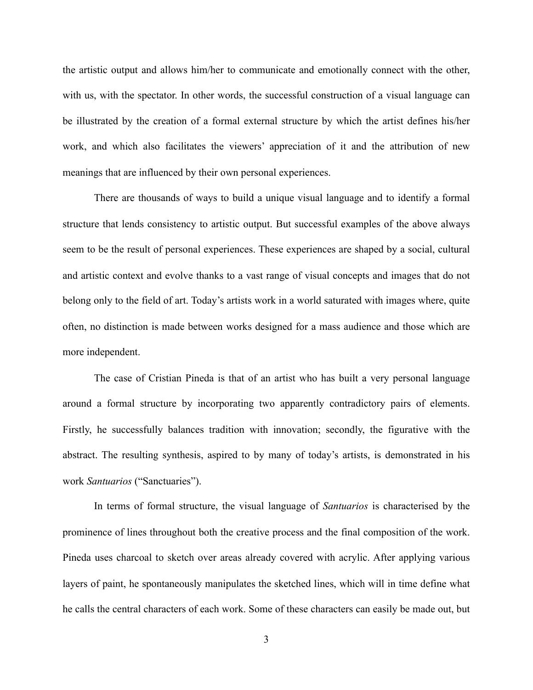the artistic output and allows him/her to communicate and emotionally connect with the other, with us, with the spectator. In other words, the successful construction of a visual language can be illustrated by the creation of a formal external structure by which the artist defines his/her work, and which also facilitates the viewers' appreciation of it and the attribution of new meanings that are influenced by their own personal experiences.

There are thousands of ways to build a unique visual language and to identify a formal structure that lends consistency to artistic output. But successful examples of the above always seem to be the result of personal experiences. These experiences are shaped by a social, cultural and artistic context and evolve thanks to a vast range of visual concepts and images that do not belong only to the field of art. Today's artists work in a world saturated with images where, quite often, no distinction is made between works designed for a mass audience and those which are more independent.

The case of Cristian Pineda is that of an artist who has built a very personal language around a formal structure by incorporating two apparently contradictory pairs of elements. Firstly, he successfully balances tradition with innovation; secondly, the figurative with the abstract. The resulting synthesis, aspired to by many of today's artists, is demonstrated in his work *Santuarios* ("Sanctuaries").

 In terms of formal structure, the visual language of *Santuarios* is characterised by the prominence of lines throughout both the creative process and the final composition of the work. Pineda uses charcoal to sketch over areas already covered with acrylic. After applying various layers of paint, he spontaneously manipulates the sketched lines, which will in time define what he calls the central characters of each work. Some of these characters can easily be made out, but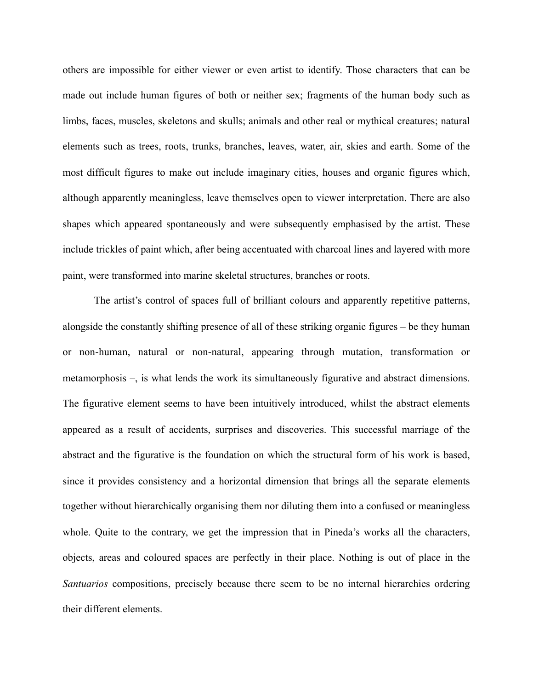others are impossible for either viewer or even artist to identify. Those characters that can be made out include human figures of both or neither sex; fragments of the human body such as limbs, faces, muscles, skeletons and skulls; animals and other real or mythical creatures; natural elements such as trees, roots, trunks, branches, leaves, water, air, skies and earth. Some of the most difficult figures to make out include imaginary cities, houses and organic figures which, although apparently meaningless, leave themselves open to viewer interpretation. There are also shapes which appeared spontaneously and were subsequently emphasised by the artist. These include trickles of paint which, after being accentuated with charcoal lines and layered with more paint, were transformed into marine skeletal structures, branches or roots.

 The artist's control of spaces full of brilliant colours and apparently repetitive patterns, alongside the constantly shifting presence of all of these striking organic figures – be they human or non-human, natural or non-natural, appearing through mutation, transformation or metamorphosis –, is what lends the work its simultaneously figurative and abstract dimensions. The figurative element seems to have been intuitively introduced, whilst the abstract elements appeared as a result of accidents, surprises and discoveries. This successful marriage of the abstract and the figurative is the foundation on which the structural form of his work is based, since it provides consistency and a horizontal dimension that brings all the separate elements together without hierarchically organising them nor diluting them into a confused or meaningless whole. Quite to the contrary, we get the impression that in Pineda's works all the characters, objects, areas and coloured spaces are perfectly in their place. Nothing is out of place in the *Santuarios* compositions, precisely because there seem to be no internal hierarchies ordering their different elements.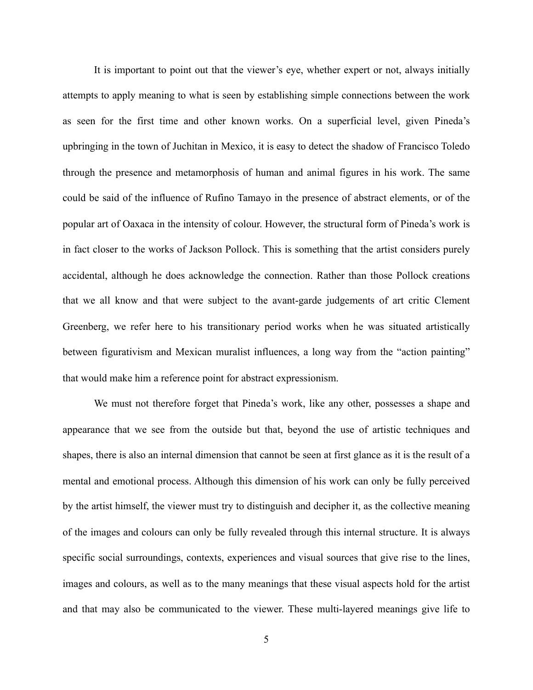It is important to point out that the viewer's eye, whether expert or not, always initially attempts to apply meaning to what is seen by establishing simple connections between the work as seen for the first time and other known works. On a superficial level, given Pineda's upbringing in the town of Juchitan in Mexico, it is easy to detect the shadow of Francisco Toledo through the presence and metamorphosis of human and animal figures in his work. The same could be said of the influence of Rufino Tamayo in the presence of abstract elements, or of the popular art of Oaxaca in the intensity of colour. However, the structural form of Pineda's work is in fact closer to the works of Jackson Pollock. This is something that the artist considers purely accidental, although he does acknowledge the connection. Rather than those Pollock creations that we all know and that were subject to the avant-garde judgements of art critic Clement Greenberg, we refer here to his transitionary period works when he was situated artistically between figurativism and Mexican muralist influences, a long way from the "action painting" that would make him a reference point for abstract expressionism.

 We must not therefore forget that Pineda's work, like any other, possesses a shape and appearance that we see from the outside but that, beyond the use of artistic techniques and shapes, there is also an internal dimension that cannot be seen at first glance as it is the result of a mental and emotional process. Although this dimension of his work can only be fully perceived by the artist himself, the viewer must try to distinguish and decipher it, as the collective meaning of the images and colours can only be fully revealed through this internal structure. It is always specific social surroundings, contexts, experiences and visual sources that give rise to the lines, images and colours, as well as to the many meanings that these visual aspects hold for the artist and that may also be communicated to the viewer. These multi-layered meanings give life to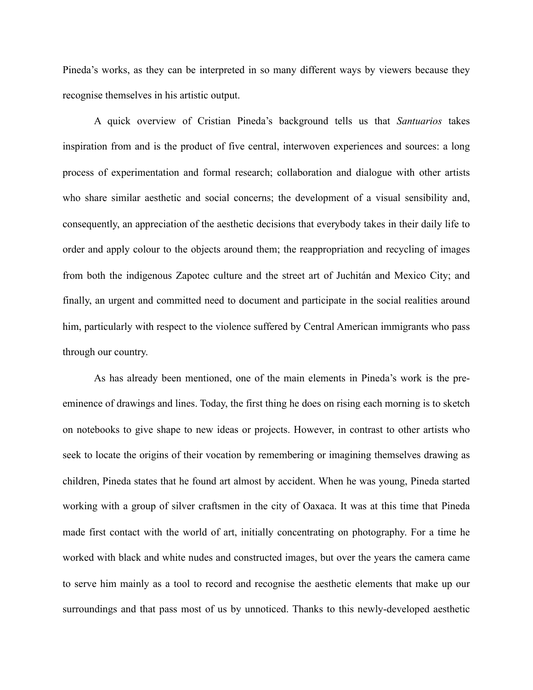Pineda's works, as they can be interpreted in so many different ways by viewers because they recognise themselves in his artistic output.

A quick overview of Cristian Pineda's background tells us that *Santuarios* takes inspiration from and is the product of five central, interwoven experiences and sources: a long process of experimentation and formal research; collaboration and dialogue with other artists who share similar aesthetic and social concerns; the development of a visual sensibility and, consequently, an appreciation of the aesthetic decisions that everybody takes in their daily life to order and apply colour to the objects around them; the reappropriation and recycling of images from both the indigenous Zapotec culture and the street art of Juchitán and Mexico City; and finally, an urgent and committed need to document and participate in the social realities around him, particularly with respect to the violence suffered by Central American immigrants who pass through our country.

 As has already been mentioned, one of the main elements in Pineda's work is the preeminence of drawings and lines. Today, the first thing he does on rising each morning is to sketch on notebooks to give shape to new ideas or projects. However, in contrast to other artists who seek to locate the origins of their vocation by remembering or imagining themselves drawing as children, Pineda states that he found art almost by accident. When he was young, Pineda started working with a group of silver craftsmen in the city of Oaxaca. It was at this time that Pineda made first contact with the world of art, initially concentrating on photography. For a time he worked with black and white nudes and constructed images, but over the years the camera came to serve him mainly as a tool to record and recognise the aesthetic elements that make up our surroundings and that pass most of us by unnoticed. Thanks to this newly-developed aesthetic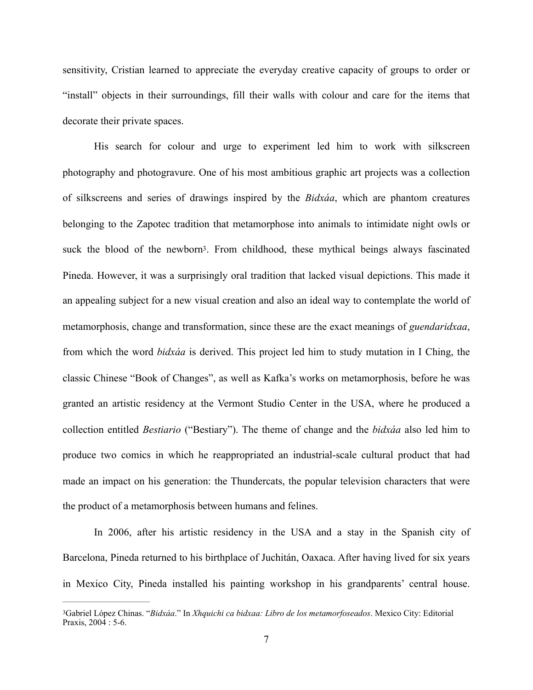sensitivity, Cristian learned to appreciate the everyday creative capacity of groups to order or "install" objects in their surroundings, fill their walls with colour and care for the items that decorate their private spaces.

<span id="page-6-1"></span>His search for colour and urge to experiment led him to work with silkscreen photography and photogravure. One of his most ambitious graphic art projects was a collection of silkscreens and series of drawings inspired by the *Bidxáa*, which are phantom creatures belonging to the Zapotec tradition that metamorphose into animals to intimidate night owls or suck the blood of the newbor[n3](#page-6-0). From childhood, these mythical beings always fascinated Pineda. However, it was a surprisingly oral tradition that lacked visual depictions. This made it an appealing subject for a new visual creation and also an ideal way to contemplate the world of metamorphosis, change and transformation, since these are the exact meanings of *guendaridxaa*, from which the word *bidxáa* is derived. This project led him to study mutation in I Ching, the classic Chinese "Book of Changes", as well as Kafka's works on metamorphosis, before he was granted an artistic residency at the Vermont Studio Center in the USA, where he produced a collection entitled *Bestiario* ("Bestiary"). The theme of change and the *bidxáa* also led him to produce two comics in which he reappropriated an industrial-scale cultural product that had made an impact on his generation: the Thundercats, the popular television characters that were the product of a metamorphosis between humans and felines.

 In 2006, after his artistic residency in the USA and a stay in the Spanish city of Barcelona, Pineda returned to his birthplace of Juchitán, Oaxaca. After having lived for six years in Mexico City, Pineda installed his painting workshop in his grandparents' central house.

<span id="page-6-0"></span>Gabriel López Chinas. "*Bidxáa*." In *Xhquichi ca bidxaa: Libro de los metamorfoseados*. Mexico City: Editorial [3](#page-6-1) Praxis, 2004 : 5-6.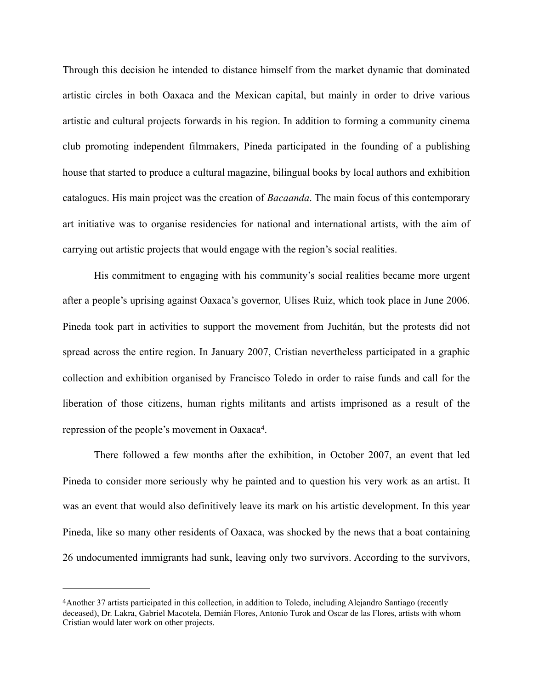Through this decision he intended to distance himself from the market dynamic that dominated artistic circles in both Oaxaca and the Mexican capital, but mainly in order to drive various artistic and cultural projects forwards in his region. In addition to forming a community cinema club promoting independent filmmakers, Pineda participated in the founding of a publishing house that started to produce a cultural magazine, bilingual books by local authors and exhibition catalogues. His main project was the creation of *Bacaanda*. The main focus of this contemporary art initiative was to organise residencies for national and international artists, with the aim of carrying out artistic projects that would engage with the region's social realities.

 His commitment to engaging with his community's social realities became more urgent after a people's uprising against Oaxaca's governor, Ulises Ruiz, which took place in June 2006. Pineda took part in activities to support the movement from Juchitán, but the protests did not spread across the entire region. In January 2007, Cristian nevertheless participated in a graphic collection and exhibition organised by Francisco Toledo in order to raise funds and call for the liberation of those citizens, human rights militants and artists imprisoned as a result of the repression of the people's movement in Oaxaca<sup>4</sup>[.](#page-7-0)

<span id="page-7-1"></span> There followed a few months after the exhibition, in October 2007, an event that led Pineda to consider more seriously why he painted and to question his very work as an artist. It was an event that would also definitively leave its mark on his artistic development. In this year Pineda, like so many other residents of Oaxaca, was shocked by the news that a boat containing 26 undocumented immigrants had sunk, leaving only two survivors. According to the survivors,

<span id="page-7-0"></span>[<sup>4</sup>](#page-7-1)Another 37 artists participated in this collection, in addition to Toledo, including Alejandro Santiago (recently deceased), Dr. Lakra, Gabriel Macotela, Demián Flores, Antonio Turok and Oscar de las Flores, artists with whom Cristian would later work on other projects.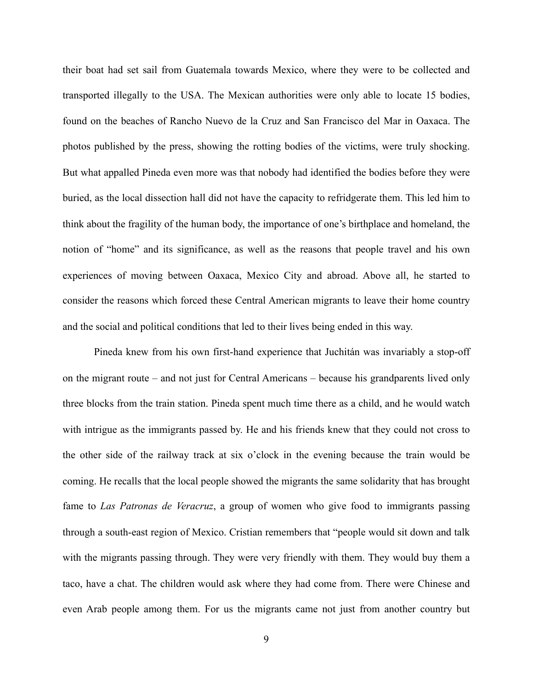their boat had set sail from Guatemala towards Mexico, where they were to be collected and transported illegally to the USA. The Mexican authorities were only able to locate 15 bodies, found on the beaches of Rancho Nuevo de la Cruz and San Francisco del Mar in Oaxaca. The photos published by the press, showing the rotting bodies of the victims, were truly shocking. But what appalled Pineda even more was that nobody had identified the bodies before they were buried, as the local dissection hall did not have the capacity to refridgerate them. This led him to think about the fragility of the human body, the importance of one's birthplace and homeland, the notion of "home" and its significance, as well as the reasons that people travel and his own experiences of moving between Oaxaca, Mexico City and abroad. Above all, he started to consider the reasons which forced these Central American migrants to leave their home country and the social and political conditions that led to their lives being ended in this way.

 Pineda knew from his own first-hand experience that Juchitán was invariably a stop-off on the migrant route – and not just for Central Americans – because his grandparents lived only three blocks from the train station. Pineda spent much time there as a child, and he would watch with intrigue as the immigrants passed by. He and his friends knew that they could not cross to the other side of the railway track at six o'clock in the evening because the train would be coming. He recalls that the local people showed the migrants the same solidarity that has brought fame to *Las Patronas de Veracruz*, a group of women who give food to immigrants passing through a south-east region of Mexico. Cristian remembers that "people would sit down and talk with the migrants passing through. They were very friendly with them. They would buy them a taco, have a chat. The children would ask where they had come from. There were Chinese and even Arab people among them. For us the migrants came not just from another country but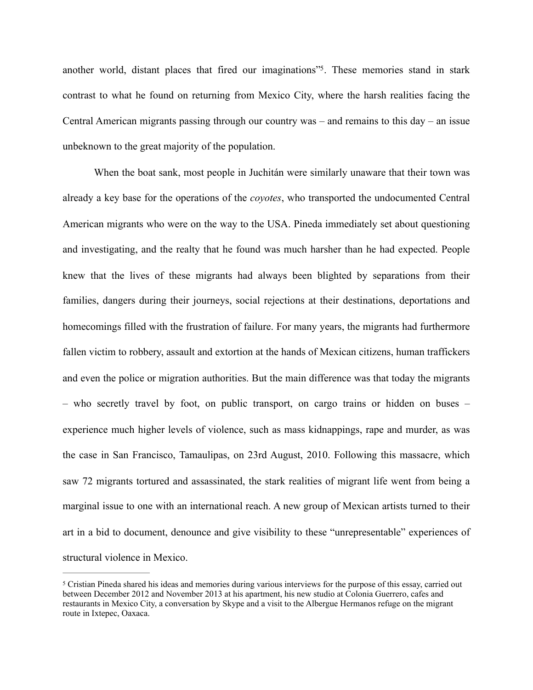<span id="page-9-1"></span>another world, distant places that fired our imaginations"<sup>[5](#page-9-0)</sup>. These memories stand in stark contrast to what he found on returning from Mexico City, where the harsh realities facing the Central American migrants passing through our country was – and remains to this day – an issue unbeknown to the great majority of the population.

 When the boat sank, most people in Juchitán were similarly unaware that their town was already a key base for the operations of the *coyotes*, who transported the undocumented Central American migrants who were on the way to the USA. Pineda immediately set about questioning and investigating, and the realty that he found was much harsher than he had expected. People knew that the lives of these migrants had always been blighted by separations from their families, dangers during their journeys, social rejections at their destinations, deportations and homecomings filled with the frustration of failure. For many years, the migrants had furthermore fallen victim to robbery, assault and extortion at the hands of Mexican citizens, human traffickers and even the police or migration authorities. But the main difference was that today the migrants – who secretly travel by foot, on public transport, on cargo trains or hidden on buses – experience much higher levels of violence, such as mass kidnappings, rape and murder, as was the case in San Francisco, Tamaulipas, on 23rd August, 2010. Following this massacre, which saw 72 migrants tortured and assassinated, the stark realities of migrant life went from being a marginal issue to one with an international reach. A new group of Mexican artists turned to their art in a bid to document, denounce and give visibility to these "unrepresentable" experiences of structural violence in Mexico.

<span id="page-9-0"></span>Cristian Pineda shared his ideas and memories during various interviews for the purpose of this essay, carried out [5](#page-9-1) between December 2012 and November 2013 at his apartment, his new studio at Colonia Guerrero, cafes and restaurants in Mexico City, a conversation by Skype and a visit to the Albergue Hermanos refuge on the migrant route in Ixtepec, Oaxaca.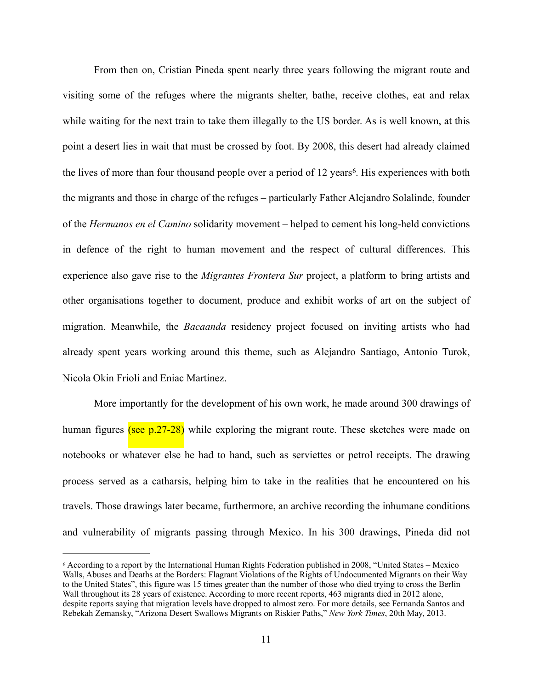<span id="page-10-1"></span> From then on, Cristian Pineda spent nearly three years following the migrant route and visiting some of the refuges where the migrants shelter, bathe, receive clothes, eat and relax while waiting for the next train to take them illegally to the US border. As is well known, at this point a desert lies in wait that must be crossed by foot. By 2008, this desert had already claimed the lives of more than four thousand people over a period of 12 years<sup>6</sup>[.](#page-10-0) His experiences with both the migrants and those in charge of the refuges – particularly Father Alejandro Solalinde, founder of the *Hermanos en el Camino* solidarity movement – helped to cement his long-held convictions in defence of the right to human movement and the respect of cultural differences. This experience also gave rise to the *Migrantes Frontera Sur* project, a platform to bring artists and other organisations together to document, produce and exhibit works of art on the subject of migration. Meanwhile, the *Bacaanda* residency project focused on inviting artists who had already spent years working around this theme, such as Alejandro Santiago, Antonio Turok, Nicola Okin Frioli and Eniac Martínez.

 More importantly for the development of his own work, he made around 300 drawings of human figures (see  $p.27-28$ ) while exploring the migrant route. These sketches were made on notebooks or whatever else he had to hand, such as serviettes or petrol receipts. The drawing process served as a catharsis, helping him to take in the realities that he encountered on his travels. Those drawings later became, furthermore, an archive recording the inhumane conditions and vulnerability of migrants passing through Mexico. In his 300 drawings, Pineda did not

<span id="page-10-0"></span>According to a report by the International Human Rights Federation published in 2008, "United States – Mexico [6](#page-10-1) Walls, Abuses and Deaths at the Borders: Flagrant Violations of the Rights of Undocumented Migrants on their Way to the United States", this figure was 15 times greater than the number of those who died trying to cross the Berlin Wall throughout its 28 years of existence. According to more recent reports, 463 migrants died in 2012 alone, despite reports saying that migration levels have dropped to almost zero. For more details, see Fernanda Santos and Rebekah Zemansky, "Arizona Desert Swallows Migrants on Riskier Paths," *New York Times*, 20th May, 2013.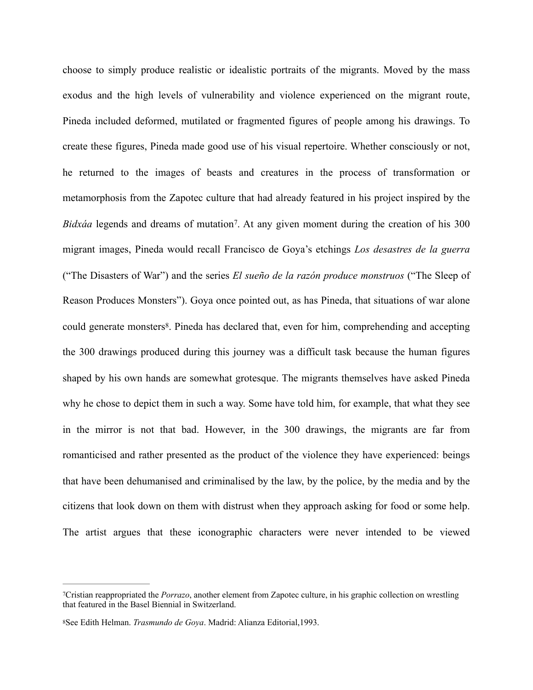<span id="page-11-3"></span><span id="page-11-2"></span>choose to simply produce realistic or idealistic portraits of the migrants. Moved by the mass exodus and the high levels of vulnerability and violence experienced on the migrant route, Pineda included deformed, mutilated or fragmented figures of people among his drawings. To create these figures, Pineda made good use of his visual repertoire. Whether consciously or not, he returned to the images of beasts and creatures in the process of transformation or metamorphosis from the Zapotec culture that had already featured in his project inspired by the *Bidxáa* legends and dreams of mutation<sup>7</sup>[.](#page-11-0) At any given moment during the creation of his 300 migrant images, Pineda would recall Francisco de Goya's etchings *Los desastres de la guerra* ("The Disasters of War") and the series *El sueño de la razón produce monstruos* ("The Sleep of Reason Produces Monsters"). Goya once pointed out, as has Pineda, that situations of war alone could generate monsters<sup>8</sup>[.](#page-11-1) Pineda has declared that, even for him, comprehending and accepting the 300 drawings produced during this journey was a difficult task because the human figures shaped by his own hands are somewhat grotesque. The migrants themselves have asked Pineda why he chose to depict them in such a way. Some have told him, for example, that what they see in the mirror is not that bad. However, in the 300 drawings, the migrants are far from romanticised and rather presented as the product of the violence they have experienced: beings that have been dehumanised and criminalised by the law, by the police, by the media and by the citizens that look down on them with distrust when they approach asking for food or some help. The artist argues that these iconographic characters were never intended to be viewed

<span id="page-11-0"></span>Cristian reappropriated the *Porrazo*, another element from Zapotec culture, in his graphic collection on wrestling [7](#page-11-2) that featured in the Basel Biennial in Switzerland.

<span id="page-11-1"></span>See Edith Helman. *Trasmundo de Goya*. Madrid: Alianza Editorial,1993. [8](#page-11-3)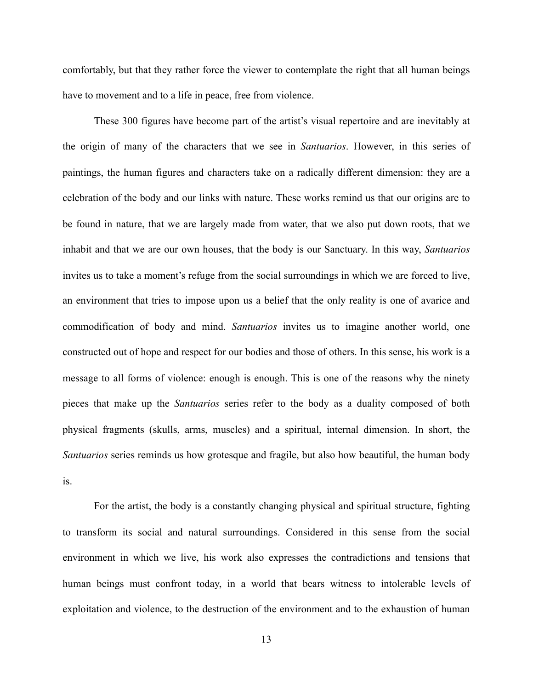comfortably, but that they rather force the viewer to contemplate the right that all human beings have to movement and to a life in peace, free from violence.

These 300 figures have become part of the artist's visual repertoire and are inevitably at the origin of many of the characters that we see in *Santuarios*. However, in this series of paintings, the human figures and characters take on a radically different dimension: they are a celebration of the body and our links with nature. These works remind us that our origins are to be found in nature, that we are largely made from water, that we also put down roots, that we inhabit and that we are our own houses, that the body is our Sanctuary. In this way, *Santuarios* invites us to take a moment's refuge from the social surroundings in which we are forced to live, an environment that tries to impose upon us a belief that the only reality is one of avarice and commodification of body and mind. *Santuarios* invites us to imagine another world, one constructed out of hope and respect for our bodies and those of others. In this sense, his work is a message to all forms of violence: enough is enough. This is one of the reasons why the ninety pieces that make up the *Santuarios* series refer to the body as a duality composed of both physical fragments (skulls, arms, muscles) and a spiritual, internal dimension. In short, the *Santuarios* series reminds us how grotesque and fragile, but also how beautiful, the human body is.

 For the artist, the body is a constantly changing physical and spiritual structure, fighting to transform its social and natural surroundings. Considered in this sense from the social environment in which we live, his work also expresses the contradictions and tensions that human beings must confront today, in a world that bears witness to intolerable levels of exploitation and violence, to the destruction of the environment and to the exhaustion of human